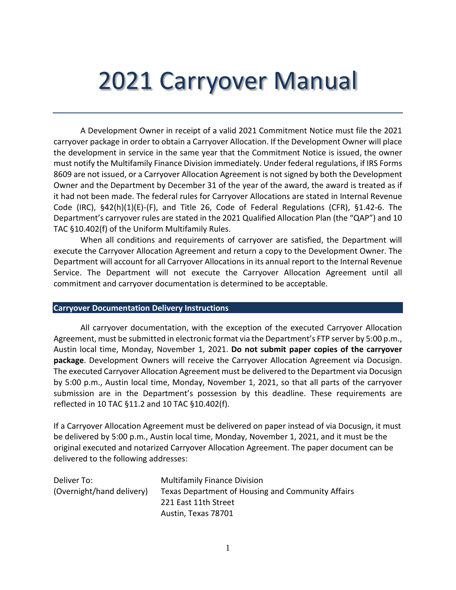# 2021 Carryover Manual

A Development Owner in receipt of a valid 2021 Commitment Notice must file the 2021 carryover package in order to obtain a Carryover Allocation. If the Development Owner will place the development in service in the same year that the Commitment Notice is issued, the owner must notify the Multifamily Finance Division immediately. Under federal regulations, if IRS Forms 8609 are not issued, or a Carryover Allocation Agreement is not signed by both the Development Owner and the Department by December 31 of the year of the award, the award is treated as if it had not been made. The federal rules for Carryover Allocations are stated in Internal Revenue Code (IRC), §42(h)(1)(E)-(F), and Title 26, Code of Federal Regulations (CFR), §1.42-6. The Department's carryover rules are stated in the 2021 Qualified Allocation Plan (the "QAP") and 10 TAC §10.402(f) of the Uniform Multifamily Rules.

When all conditions and requirements of carryover are satisfied, the Department will execute the Carryover Allocation Agreement and return a copy to the Development Owner. The Department will account for all Carryover Allocations in its annual report to the Internal Revenue Service. The Department will not execute the Carryover Allocation Agreement until all commitment and carryover documentation is determined to be acceptable.

#### **Carryover Documentation Delivery Instructions**

All carryover documentation, with the exception of the executed Carryover Allocation Agreement, must be submitted in electronic format via the Department's FTP server by 5:00 p.m., Austin local time, Monday, November 1, 2021. **Do not submit paper copies of the carryover package**. Development Owners will receive the Carryover Allocation Agreement via Docusign. The executed Carryover Allocation Agreement must be delivered to the Department via Docusign by 5:00 p.m., Austin local time, Monday, November 1, 2021, so that all parts of the carryover submission are in the Department's possession by this deadline. These requirements are reflected in 10 TAC §11.2 and 10 TAC §10.402(f).

If a Carryover Allocation Agreement must be delivered on paper instead of via Docusign, it must be delivered by 5:00 p.m., Austin local time, Monday, November 1, 2021, and it must be the original executed and notarized Carryover Allocation Agreement. The paper document can be delivered to the following addresses:

| Deliver To:               | <b>Multifamily Finance Division</b>               |
|---------------------------|---------------------------------------------------|
| (Overnight/hand delivery) | Texas Department of Housing and Community Affairs |
|                           | 221 East 11th Street                              |
|                           | Austin, Texas 78701                               |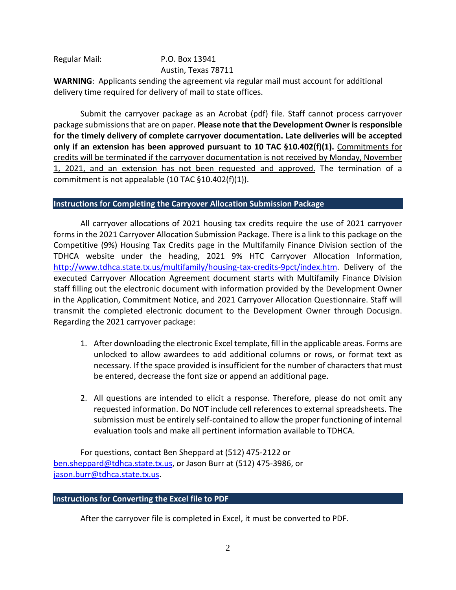#### Regular Mail: P.O. Box 13941 Austin, Texas 78711

**WARNING**: Applicants sending the agreement via regular mail must account for additional delivery time required for delivery of mail to state offices.

Submit the carryover package as an Acrobat (pdf) file. Staff cannot process carryover package submissionsthat are on paper. **Please note that the Development Owner is responsible for the timely delivery of complete carryover documentation. Late deliveries will be accepted only if an extension has been approved pursuant to 10 TAC §10.402(f)(1).** Commitments for credits will be terminated if the carryover documentation is not received by Monday, November 1, 2021, and an extension has not been requested and approved. The termination of a commitment is not appealable (10 TAC §10.402(f)(1)).

#### **Instructions for Completing the Carryover Allocation Submission Package**

All carryover allocations of 2021 housing tax credits require the use of 2021 carryover forms in the 2021 Carryover Allocation Submission Package. There is a link to this package on the Competitive (9%) Housing Tax Credits page in the Multifamily Finance Division section of the TDHCA website under the heading, 2021 9% HTC Carryover Allocation Information, [http://www.tdhca.state.tx.us/multifamily/housing-tax-credits-9pct/index.htm.](http://www.tdhca.state.tx.us/multifamily/housing-tax-credits-9pct/index.htm) Delivery of the executed Carryover Allocation Agreement document starts with Multifamily Finance Division staff filling out the electronic document with information provided by the Development Owner in the Application, Commitment Notice, and 2021 Carryover Allocation Questionnaire. Staff will transmit the completed electronic document to the Development Owner through Docusign. Regarding the 2021 carryover package:

- 1. After downloading the electronic Excel template, fill in the applicable areas. Forms are unlocked to allow awardees to add additional columns or rows, or format text as necessary. If the space provided is insufficient for the number of characters that must be entered, decrease the font size or append an additional page.
- 2. All questions are intended to elicit a response. Therefore, please do not omit any requested information. Do NOT include cell references to external spreadsheets. The submission must be entirely self-contained to allow the proper functioning of internal evaluation tools and make all pertinent information available to TDHCA.

For questions, contact Ben Sheppard at (512) 475-2122 or [ben.sheppard@tdhca.state.tx.us,](mailto:ben.sheppard@tdhca.state.tx.us) or Jason Burr at (512) 475-3986, or [jason.burr@tdhca.state.tx.us.](mailto:jason.burr@tdhca.state.tx.us)

## **Instructions for Converting the Excel file to PDF**

After the carryover file is completed in Excel, it must be converted to PDF.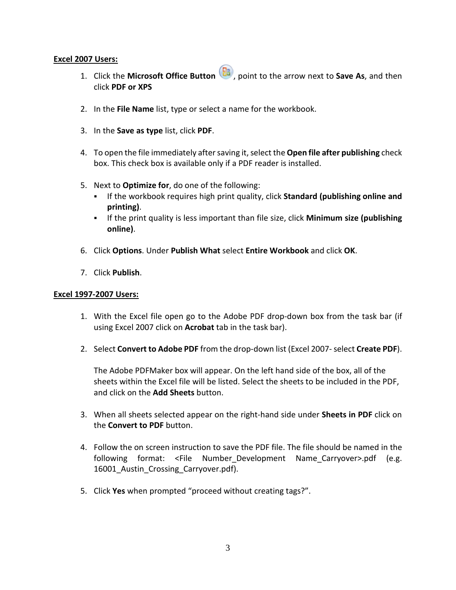## **Excel 2007 Users:**

- 1. Click the **Microsoft Office Button** , point to the arrow next to **Save As**, and then click **PDF or XPS**
- 2. In the **File Name** list, type or select a name for the workbook.
- 3. In the **Save as type** list, click **PDF**.
- 4. To open the file immediately after saving it, select the **Open file after publishing** check box. This check box is available only if a PDF reader is installed.
- 5. Next to **Optimize for**, do one of the following:
	- If the workbook requires high print quality, click **Standard (publishing online and printing)**.
	- If the print quality is less important than file size, click **Minimum size (publishing online)**.
- 6. Click **Options**. Under **Publish What** select **Entire Workbook** and click **OK**.
- 7. Click **Publish**.

## **Excel 1997-2007 Users:**

- 1. With the Excel file open go to the Adobe PDF drop-down box from the task bar (if using Excel 2007 click on **Acrobat** tab in the task bar).
- 2. Select **Convert to Adobe PDF** from the drop-down list (Excel 2007- select **Create PDF**).

The Adobe PDFMaker box will appear. On the left hand side of the box, all of the sheets within the Excel file will be listed. Select the sheets to be included in the PDF, and click on the **Add Sheets** button.

- 3. When all sheets selected appear on the right-hand side under **Sheets in PDF** click on the **Convert to PDF** button.
- 4. Follow the on screen instruction to save the PDF file. The file should be named in the following format: <File Number-Development Name-Carryover>.pdf (e.g. 16001 Austin Crossing Carryover.pdf).
- 5. Click **Yes** when prompted "proceed without creating tags?".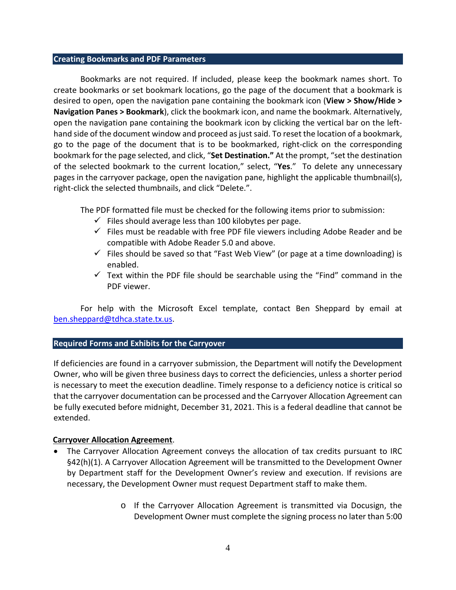#### **Creating Bookmarks and PDF Parameters**

Bookmarks are not required. If included, please keep the bookmark names short. To create bookmarks or set bookmark locations, go the page of the document that a bookmark is desired to open, open the navigation pane containing the bookmark icon (**View > Show/Hide > Navigation Panes > Bookmark**), click the bookmark icon, and name the bookmark. Alternatively, open the navigation pane containing the bookmark icon by clicking the vertical bar on the lefthand side of the document window and proceed as just said. To reset the location of a bookmark, go to the page of the document that is to be bookmarked, right-click on the corresponding bookmark for the page selected, and click, "**Set Destination."** At the prompt, "set the destination of the selected bookmark to the current location," select, "**Yes**." To delete any unnecessary pages in the carryover package, open the navigation pane, highlight the applicable thumbnail(s), right-click the selected thumbnails, and click "Delete.".

The PDF formatted file must be checked for the following items prior to submission:

- $\checkmark$  Files should average less than 100 kilobytes per page.
- $\checkmark$  Files must be readable with free PDF file viewers including Adobe Reader and be compatible with Adobe Reader 5.0 and above.
- $\checkmark$  Files should be saved so that "Fast Web View" (or page at a time downloading) is enabled.
- $\checkmark$  Text within the PDF file should be searchable using the "Find" command in the PDF viewer.

For help with the Microsoft Excel template, contact Ben Sheppard by email at [ben.sheppard@tdhca.state.tx.us.](mailto:ben.sheppard@tdhca.state.tx.us)

## **Required Forms and Exhibits for the Carryover**

If deficiencies are found in a carryover submission, the Department will notify the Development Owner, who will be given three business days to correct the deficiencies, unless a shorter period is necessary to meet the execution deadline. Timely response to a deficiency notice is critical so that the carryover documentation can be processed and the Carryover Allocation Agreement can be fully executed before midnight, December 31, 2021. This is a federal deadline that cannot be extended.

## **Carryover Allocation Agreement**.

- The Carryover Allocation Agreement conveys the allocation of tax credits pursuant to IRC §42(h)(1). A Carryover Allocation Agreement will be transmitted to the Development Owner by Department staff for the Development Owner's review and execution. If revisions are necessary, the Development Owner must request Department staff to make them.
	- o If the Carryover Allocation Agreement is transmitted via Docusign, the Development Owner must complete the signing process no later than 5:00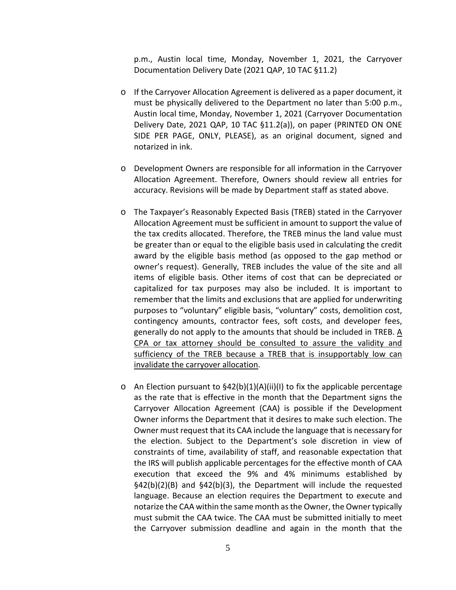p.m., Austin local time, Monday, November 1, 2021, the Carryover Documentation Delivery Date (2021 QAP, 10 TAC §11.2)

- o If the Carryover Allocation Agreement is delivered as a paper document, it must be physically delivered to the Department no later than 5:00 p.m., Austin local time, Monday, November 1, 2021 (Carryover Documentation Delivery Date, 2021 QAP, 10 TAC §11.2(a)), on paper (PRINTED ON ONE SIDE PER PAGE, ONLY, PLEASE), as an original document, signed and notarized in ink.
- o Development Owners are responsible for all information in the Carryover Allocation Agreement. Therefore, Owners should review all entries for accuracy. Revisions will be made by Department staff as stated above.
- o The Taxpayer's Reasonably Expected Basis (TREB) stated in the Carryover Allocation Agreement must be sufficient in amount to support the value of the tax credits allocated. Therefore, the TREB minus the land value must be greater than or equal to the eligible basis used in calculating the credit award by the eligible basis method (as opposed to the gap method or owner's request). Generally, TREB includes the value of the site and all items of eligible basis. Other items of cost that can be depreciated or capitalized for tax purposes may also be included. It is important to remember that the limits and exclusions that are applied for underwriting purposes to "voluntary" eligible basis, "voluntary" costs, demolition cost, contingency amounts, contractor fees, soft costs, and developer fees, generally do not apply to the amounts that should be included in TREB. A CPA or tax attorney should be consulted to assure the validity and sufficiency of the TREB because a TREB that is insupportably low can invalidate the carryover allocation.
- $\circ$  An Election pursuant to §42(b)(1)(A)(ii)(I) to fix the applicable percentage as the rate that is effective in the month that the Department signs the Carryover Allocation Agreement (CAA) is possible if the Development Owner informs the Department that it desires to make such election. The Owner must request that its CAA include the language that is necessary for the election. Subject to the Department's sole discretion in view of constraints of time, availability of staff, and reasonable expectation that the IRS will publish applicable percentages for the effective month of CAA execution that exceed the 9% and 4% minimums established by §42(b)(2)(B) and §42(b)(3), the Department will include the requested language. Because an election requires the Department to execute and notarize the CAA within the same month as the Owner, the Owner typically must submit the CAA twice. The CAA must be submitted initially to meet the Carryover submission deadline and again in the month that the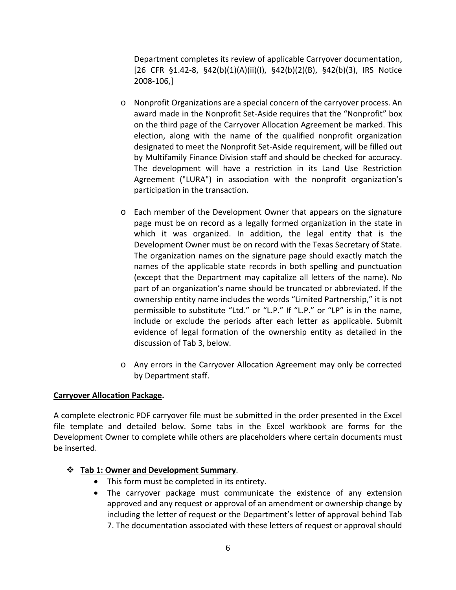Department completes its review of applicable Carryover documentation, [26 CFR §1.42-8, §42(b)(1)(A)(ii)(I), §42(b)(2)(B), §42(b)(3), IRS Notice 2008-106,]

- o Nonprofit Organizations are a special concern of the carryover process. An award made in the Nonprofit Set-Aside requires that the "Nonprofit" box on the third page of the Carryover Allocation Agreement be marked. This election, along with the name of the qualified nonprofit organization designated to meet the Nonprofit Set-Aside requirement, will be filled out by Multifamily Finance Division staff and should be checked for accuracy. The development will have a restriction in its Land Use Restriction Agreement ("LURA") in association with the nonprofit organization's participation in the transaction.
- o Each member of the Development Owner that appears on the signature page must be on record as a legally formed organization in the state in which it was organized. In addition, the legal entity that is the Development Owner must be on record with the Texas Secretary of State. The organization names on the signature page should exactly match the names of the applicable state records in both spelling and punctuation (except that the Department may capitalize all letters of the name). No part of an organization's name should be truncated or abbreviated. If the ownership entity name includes the words "Limited Partnership," it is not permissible to substitute "Ltd." or "L.P." If "L.P." or "LP" is in the name, include or exclude the periods after each letter as applicable. Submit evidence of legal formation of the ownership entity as detailed in the discussion of Tab 3, below.
- o Any errors in the Carryover Allocation Agreement may only be corrected by Department staff.

# **Carryover Allocation Package.**

A complete electronic PDF carryover file must be submitted in the order presented in the Excel file template and detailed below. Some tabs in the Excel workbook are forms for the Development Owner to complete while others are placeholders where certain documents must be inserted.

# **Tab 1: Owner and Development Summary**.

- This form must be completed in its entirety.
- The carryover package must communicate the existence of any extension approved and any request or approval of an amendment or ownership change by including the letter of request or the Department's letter of approval behind Tab 7. The documentation associated with these letters of request or approval should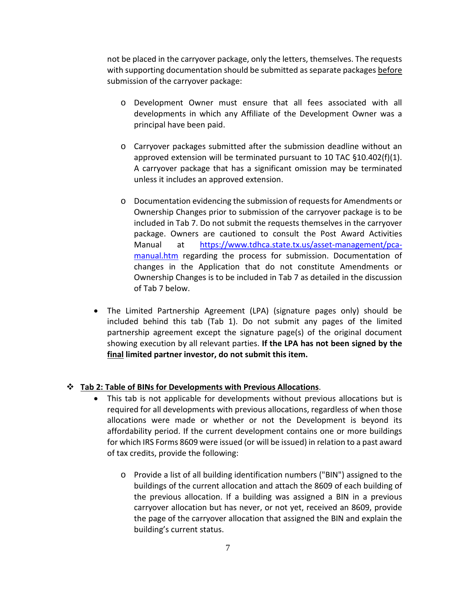not be placed in the carryover package, only the letters, themselves. The requests with supporting documentation should be submitted as separate packages before submission of the carryover package:

- o Development Owner must ensure that all fees associated with all developments in which any Affiliate of the Development Owner was a principal have been paid.
- o Carryover packages submitted after the submission deadline without an approved extension will be terminated pursuant to 10 TAC §10.402(f)(1). A carryover package that has a significant omission may be terminated unless it includes an approved extension.
- o Documentation evidencing the submission of requests for Amendments or Ownership Changes prior to submission of the carryover package is to be included in Tab 7. Do not submit the requests themselves in the carryover package. Owners are cautioned to consult the Post Award Activities Manual at [https://www.tdhca.state.tx.us/asset-management/pca](https://www.tdhca.state.tx.us/asset-management/pca-manual.htm)[manual.htm](https://www.tdhca.state.tx.us/asset-management/pca-manual.htm) regarding the process for submission. Documentation of changes in the Application that do not constitute Amendments or Ownership Changes is to be included in Tab 7 as detailed in the discussion of Tab 7 below.
- The Limited Partnership Agreement (LPA) (signature pages only) should be included behind this tab (Tab 1). Do not submit any pages of the limited partnership agreement except the signature page(s) of the original document showing execution by all relevant parties. **If the LPA has not been signed by the final limited partner investor, do not submit this item.**

## **Tab 2: Table of BINs for Developments with Previous Allocations**.

- This tab is not applicable for developments without previous allocations but is required for all developments with previous allocations, regardless of when those allocations were made or whether or not the Development is beyond its affordability period. If the current development contains one or more buildings for which IRS Forms 8609 were issued (or will be issued) in relation to a past award of tax credits, provide the following:
	- o Provide a list of all building identification numbers ("BIN") assigned to the buildings of the current allocation and attach the 8609 of each building of the previous allocation. If a building was assigned a BIN in a previous carryover allocation but has never, or not yet, received an 8609, provide the page of the carryover allocation that assigned the BIN and explain the building's current status.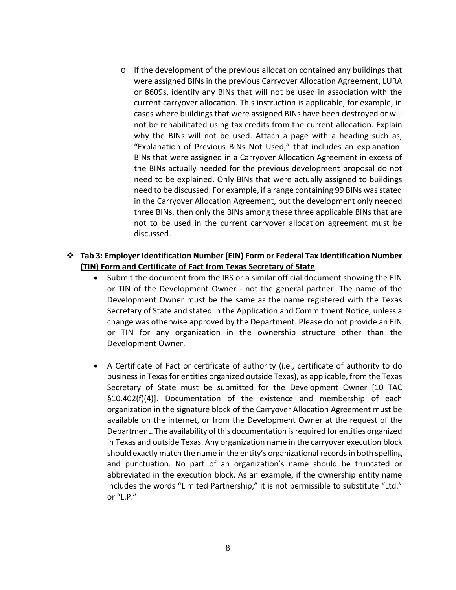o If the development of the previous allocation contained any buildings that were assigned BINs in the previous Carryover Allocation Agreement, LURA or 8609s, identify any BINs that will not be used in association with the current carryover allocation. This instruction is applicable, for example, in cases where buildings that were assigned BINs have been destroyed or will not be rehabilitated using tax credits from the current allocation. Explain why the BINs will not be used. Attach a page with a heading such as, "Explanation of Previous BINs Not Used," that includes an explanation. BINs that were assigned in a Carryover Allocation Agreement in excess of the BINs actually needed for the previous development proposal do not need to be explained. Only BINs that were actually assigned to buildings need to be discussed. For example, if a range containing 99 BINs was stated in the Carryover Allocation Agreement, but the development only needed three BINs, then only the BINs among these three applicable BINs that are not to be used in the current carryover allocation agreement must be discussed.

## **Tab 3: Employer Identification Number (EIN) Form or Federal Tax Identification Number (TIN) Form and Certificate of Fact from Texas Secretary of State**.

- Submit the document from the IRS or a similar official document showing the EIN or TIN of the Development Owner - not the general partner. The name of the Development Owner must be the same as the name registered with the Texas Secretary of State and stated in the Application and Commitment Notice, unless a change was otherwise approved by the Department. Please do not provide an EIN or TIN for any organization in the ownership structure other than the Development Owner.
- A Certificate of Fact or certificate of authority (i.e., certificate of authority to do business in Texas for entities organized outside Texas), as applicable, from the Texas Secretary of State must be submitted for the Development Owner [10 TAC §10.402(f)(4)]. Documentation of the existence and membership of each organization in the signature block of the Carryover Allocation Agreement must be available on the internet, or from the Development Owner at the request of the Department. The availability of this documentation is required for entities organized in Texas and outside Texas. Any organization name in the carryover execution block should exactly match the name in the entity's organizational records in both spelling and punctuation. No part of an organization's name should be truncated or abbreviated in the execution block. As an example, if the ownership entity name includes the words "Limited Partnership," it is not permissible to substitute "Ltd." or "L.P."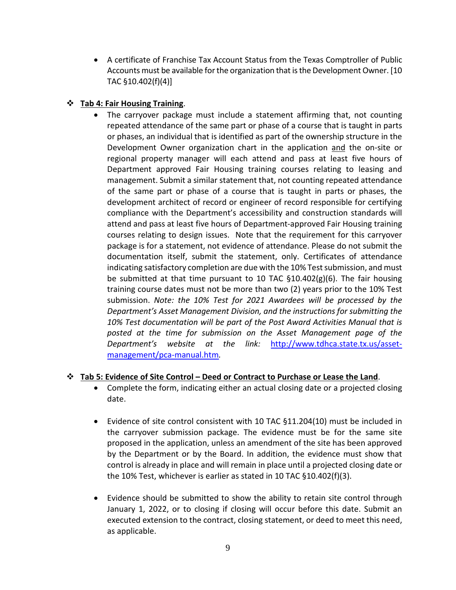• A certificate of Franchise Tax Account Status from the Texas Comptroller of Public Accounts must be available for the organization that is the Development Owner. [10 TAC §10.402(f)(4)]

# **Tab 4: Fair Housing Training**.

The carryover package must include a statement affirming that, not counting repeated attendance of the same part or phase of a course that is taught in parts or phases, an individual that is identified as part of the ownership structure in the Development Owner organization chart in the application and the on-site or regional property manager will each attend and pass at least five hours of Department approved Fair Housing training courses relating to leasing and management. Submit a similar statement that, not counting repeated attendance of the same part or phase of a course that is taught in parts or phases, the development architect of record or engineer of record responsible for certifying compliance with the Department's accessibility and construction standards will attend and pass at least five hours of Department-approved Fair Housing training courses relating to design issues. Note that the requirement for this carryover package is for a statement, not evidence of attendance. Please do not submit the documentation itself, submit the statement, only. Certificates of attendance indicating satisfactory completion are due with the 10% Test submission, and must be submitted at that time pursuant to 10 TAC  $\S$ 10.402(g)(6). The fair housing training course dates must not be more than two (2) years prior to the 10% Test submission. *Note: the 10% Test for 2021 Awardees will be processed by the Department's Asset Management Division, and the instructions for submitting the 10% Test documentation will be part of the Post Award Activities Manual that is posted at the time for submission on the Asset Management page of the Department's website at the link:* [http://www.tdhca.state.tx.us/asset](http://www.tdhca.state.tx.us/asset-management/pca-manual.htm)[management/pca-manual.htm](http://www.tdhca.state.tx.us/asset-management/pca-manual.htm)*.*

# **Tab 5: Evidence of Site Control – Deed or Contract to Purchase or Lease the Land**.

- Complete the form, indicating either an actual closing date or a projected closing date.
- Evidence of site control consistent with 10 TAC §11.204(10) must be included in the carryover submission package. The evidence must be for the same site proposed in the application, unless an amendment of the site has been approved by the Department or by the Board. In addition, the evidence must show that control is already in place and will remain in place until a projected closing date or the 10% Test, whichever is earlier as stated in 10 TAC §10.402(f)(3).
- Evidence should be submitted to show the ability to retain site control through January 1, 2022, or to closing if closing will occur before this date. Submit an executed extension to the contract, closing statement, or deed to meet this need, as applicable.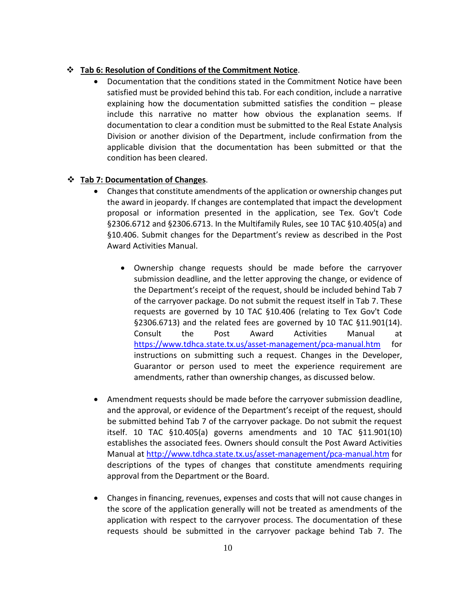# **Tab 6: Resolution of Conditions of the Commitment Notice**.

• Documentation that the conditions stated in the Commitment Notice have been satisfied must be provided behind this tab. For each condition, include a narrative explaining how the documentation submitted satisfies the condition – please include this narrative no matter how obvious the explanation seems. If documentation to clear a condition must be submitted to the Real Estate Analysis Division or another division of the Department, include confirmation from the applicable division that the documentation has been submitted or that the condition has been cleared.

## **Tab 7: Documentation of Changes**.

- Changes that constitute amendments of the application or ownership changes put the award in jeopardy. If changes are contemplated that impact the development proposal or information presented in the application, see Tex. Gov't Code §2306.6712 and §2306.6713. In the Multifamily Rules, see 10 TAC §10.405(a) and §10.406. Submit changes for the Department's review as described in the Post Award Activities Manual.
	- Ownership change requests should be made before the carryover submission deadline, and the letter approving the change, or evidence of the Department's receipt of the request, should be included behind Tab 7 of the carryover package. Do not submit the request itself in Tab 7. These requests are governed by 10 TAC §10.406 (relating to Tex Gov't Code §2306.6713) and the related fees are governed by 10 TAC §11.901(14). Consult the Post Award Activities Manual at <https://www.tdhca.state.tx.us/asset-management/pca-manual.htm> for instructions on submitting such a request. Changes in the Developer, Guarantor or person used to meet the experience requirement are amendments, rather than ownership changes, as discussed below.
- Amendment requests should be made before the carryover submission deadline, and the approval, or evidence of the Department's receipt of the request, should be submitted behind Tab 7 of the carryover package. Do not submit the request itself. 10 TAC §10.405(a) governs amendments and 10 TAC §11.901(10) establishes the associated fees. Owners should consult the Post Award Activities Manual at<http://www.tdhca.state.tx.us/asset-management/pca-manual.htm> for descriptions of the types of changes that constitute amendments requiring approval from the Department or the Board.
- Changes in financing, revenues, expenses and costs that will not cause changes in the score of the application generally will not be treated as amendments of the application with respect to the carryover process. The documentation of these requests should be submitted in the carryover package behind Tab 7. The